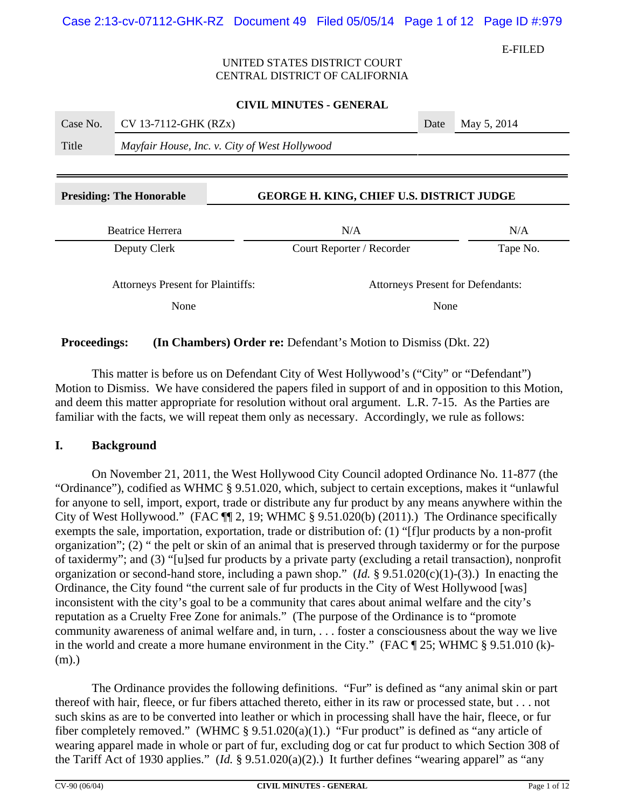E-FILED

## UNITED STATES DISTRICT COURT CENTRAL DISTRICT OF CALIFORNIA

|          |                                               | <b>CIVIL MINUTES - GENERAL</b>                   |      |                                          |
|----------|-----------------------------------------------|--------------------------------------------------|------|------------------------------------------|
| Case No. | CV 13-7112-GHK (RZx)                          |                                                  | Date | May 5, 2014                              |
| Title    | Mayfair House, Inc. v. City of West Hollywood |                                                  |      |                                          |
|          |                                               |                                                  |      |                                          |
|          | <b>Presiding: The Honorable</b>               | <b>GEORGE H. KING, CHIEF U.S. DISTRICT JUDGE</b> |      |                                          |
|          | <b>Beatrice Herrera</b>                       | N/A                                              |      | N/A                                      |
|          | Deputy Clerk                                  | Court Reporter / Recorder                        |      | Tape No.                                 |
|          | <b>Attorneys Present for Plaintiffs:</b>      |                                                  |      | <b>Attorneys Present for Defendants:</b> |
| None     |                                               |                                                  | None |                                          |

**Proceedings:** (In Chambers) Order re: Defendant's Motion to Dismiss (Dkt. 22)

This matter is before us on Defendant City of West Hollywood's ("City" or "Defendant") Motion to Dismiss. We have considered the papers filed in support of and in opposition to this Motion, and deem this matter appropriate for resolution without oral argument. L.R. 7-15. As the Parties are familiar with the facts, we will repeat them only as necessary. Accordingly, we rule as follows:

## **I. Background**

On November 21, 2011, the West Hollywood City Council adopted Ordinance No. 11-877 (the "Ordinance"), codified as WHMC § 9.51.020, which, subject to certain exceptions, makes it "unlawful for anyone to sell, import, export, trade or distribute any fur product by any means anywhere within the City of West Hollywood." (FAC ¶¶ 2, 19; WHMC § 9.51.020(b) (2011).) The Ordinance specifically exempts the sale, importation, exportation, trade or distribution of: (1) "[f]ur products by a non-profit organization"; (2) " the pelt or skin of an animal that is preserved through taxidermy or for the purpose of taxidermy"; and (3) "[u]sed fur products by a private party (excluding a retail transaction), nonprofit organization or second-hand store, including a pawn shop." (*Id.* § 9.51.020(c)(1)-(3).) In enacting the Ordinance, the City found "the current sale of fur products in the City of West Hollywood [was] inconsistent with the city's goal to be a community that cares about animal welfare and the city's reputation as a Cruelty Free Zone for animals." (The purpose of the Ordinance is to "promote community awareness of animal welfare and, in turn, . . . foster a consciousness about the way we live in the world and create a more humane environment in the City." (FAC ¶ 25; WHMC § 9.51.010 (k)- (m).)

The Ordinance provides the following definitions. "Fur" is defined as "any animal skin or part thereof with hair, fleece, or fur fibers attached thereto, either in its raw or processed state, but . . . not such skins as are to be converted into leather or which in processing shall have the hair, fleece, or fur fiber completely removed." (WHMC § 9.51.020(a)(1).) "Fur product" is defined as "any article of wearing apparel made in whole or part of fur, excluding dog or cat fur product to which Section 308 of the Tariff Act of 1930 applies." (*Id.* § 9.51.020(a)(2).) It further defines "wearing apparel" as "any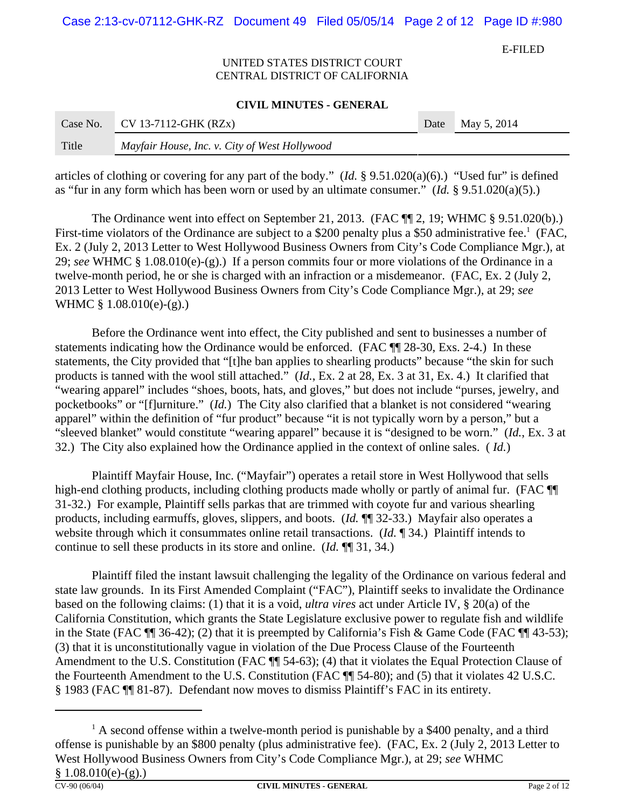Case 2:13-cv-07112-GHK-RZ Document 49 Filed 05/05/14 Page 2 of 12 Page ID #:980

E-FILED

### UNITED STATES DISTRICT COURT CENTRAL DISTRICT OF CALIFORNIA

#### **CIVIL MINUTES - GENERAL**

| Case No. | $CV 13-7112-GHK (RZx)$                        | Date | May 5, 2014 |
|----------|-----------------------------------------------|------|-------------|
| Title    | Mayfair House, Inc. v. City of West Hollywood |      |             |

articles of clothing or covering for any part of the body." (*Id.* § 9.51.020(a)(6).) "Used fur" is defined as "fur in any form which has been worn or used by an ultimate consumer." (*Id.* § 9.51.020(a)(5).)

The Ordinance went into effect on September 21, 2013. (FAC  $\P$  2, 19; WHMC § 9.51.020(b).) First-time violators of the Ordinance are subject to a \$200 penalty plus a \$50 administrative fee.<sup>1</sup> (FAC, Ex. 2 (July 2, 2013 Letter to West Hollywood Business Owners from City's Code Compliance Mgr.), at 29; *see* WHMC § 1.08.010(e)-(g).) If a person commits four or more violations of the Ordinance in a twelve-month period, he or she is charged with an infraction or a misdemeanor. (FAC, Ex. 2 (July 2, 2013 Letter to West Hollywood Business Owners from City's Code Compliance Mgr.), at 29; *see* WHMC § 1.08.010(e)-(g).)

Before the Ordinance went into effect, the City published and sent to businesses a number of statements indicating how the Ordinance would be enforced. (FAC  $\P$  28-30, Exs. 2-4.) In these statements, the City provided that "[t]he ban applies to shearling products" because "the skin for such products is tanned with the wool still attached." (*Id.*, Ex. 2 at 28, Ex. 3 at 31, Ex. 4.) It clarified that "wearing apparel" includes "shoes, boots, hats, and gloves," but does not include "purses, jewelry, and pocketbooks" or "[f]urniture." (*Id.*) The City also clarified that a blanket is not considered "wearing apparel" within the definition of "fur product" because "it is not typically worn by a person," but a "sleeved blanket" would constitute "wearing apparel" because it is "designed to be worn." (*Id.*, Ex. 3 at 32.) The City also explained how the Ordinance applied in the context of online sales. ( *Id.*)

Plaintiff Mayfair House, Inc. ("Mayfair") operates a retail store in West Hollywood that sells high-end clothing products, including clothing products made wholly or partly of animal fur. (FAC  $\P$ 31-32.) For example, Plaintiff sells parkas that are trimmed with coyote fur and various shearling products, including earmuffs, gloves, slippers, and boots. (*Id.* ¶¶ 32-33.) Mayfair also operates a website through which it consummates online retail transactions. (*Id.* ¶ 34.) Plaintiff intends to continue to sell these products in its store and online. (*Id.* ¶¶ 31, 34.)

Plaintiff filed the instant lawsuit challenging the legality of the Ordinance on various federal and state law grounds. In its First Amended Complaint ("FAC"), Plaintiff seeks to invalidate the Ordinance based on the following claims: (1) that it is a void, *ultra vires* act under Article IV, § 20(a) of the California Constitution, which grants the State Legislature exclusive power to regulate fish and wildlife in the State (FAC ¶¶ 36-42); (2) that it is preempted by California's Fish & Game Code (FAC ¶¶ 43-53); (3) that it is unconstitutionally vague in violation of the Due Process Clause of the Fourteenth Amendment to the U.S. Constitution (FAC  $\P$  54-63); (4) that it violates the Equal Protection Clause of the Fourteenth Amendment to the U.S. Constitution (FAC ¶¶ 54-80); and (5) that it violates 42 U.S.C. § 1983 (FAC ¶¶ 81-87). Defendant now moves to dismiss Plaintiff's FAC in its entirety.

 $<sup>1</sup>$  A second offense within a twelve-month period is punishable by a \$400 penalty, and a third</sup> offense is punishable by an \$800 penalty (plus administrative fee). (FAC, Ex. 2 (July 2, 2013 Letter to West Hollywood Business Owners from City's Code Compliance Mgr.), at 29; *see* WHMC  $$1.08.010(e)-(g).$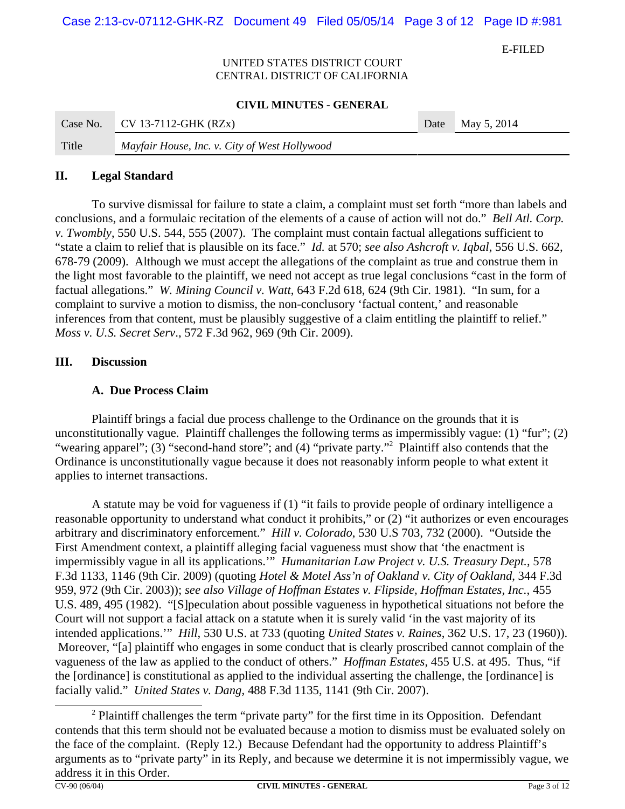Case 2:13-cv-07112-GHK-RZ Document 49 Filed 05/05/14 Page 3 of 12 Page ID #:981

E-FILED

## UNITED STATES DISTRICT COURT CENTRAL DISTRICT OF CALIFORNIA

#### **CIVIL MINUTES - GENERAL**

| Case No. | $CV 13-7112-GHK (RZx)$                        | Date May 5, 2014 |
|----------|-----------------------------------------------|------------------|
| Title    | Mayfair House, Inc. v. City of West Hollywood |                  |

### **II. Legal Standard**

To survive dismissal for failure to state a claim, a complaint must set forth "more than labels and conclusions, and a formulaic recitation of the elements of a cause of action will not do." *Bell Atl. Corp. v. Twombly*, 550 U.S. 544, 555 (2007). The complaint must contain factual allegations sufficient to "state a claim to relief that is plausible on its face." *Id.* at 570; *see also Ashcroft v. Iqbal*, 556 U.S. 662, 678-79 (2009). Although we must accept the allegations of the complaint as true and construe them in the light most favorable to the plaintiff, we need not accept as true legal conclusions "cast in the form of factual allegations." *W. Mining Council v. Watt*, 643 F.2d 618, 624 (9th Cir. 1981). "In sum, for a complaint to survive a motion to dismiss, the non-conclusory 'factual content,' and reasonable inferences from that content, must be plausibly suggestive of a claim entitling the plaintiff to relief." *Moss v. U.S. Secret Serv*., 572 F.3d 962, 969 (9th Cir. 2009).

# **III. Discussion**

# **A. Due Process Claim**

Plaintiff brings a facial due process challenge to the Ordinance on the grounds that it is unconstitutionally vague. Plaintiff challenges the following terms as impermissibly vague: (1) "fur"; (2) "wearing apparel"; (3) "second-hand store"; and (4) "private party."<sup>2</sup> Plaintiff also contends that the Ordinance is unconstitutionally vague because it does not reasonably inform people to what extent it applies to internet transactions.

A statute may be void for vagueness if (1) "it fails to provide people of ordinary intelligence a reasonable opportunity to understand what conduct it prohibits," or (2) "it authorizes or even encourages arbitrary and discriminatory enforcement." *Hill v. Colorado*, 530 U.S 703, 732 (2000). "Outside the First Amendment context, a plaintiff alleging facial vagueness must show that 'the enactment is impermissibly vague in all its applications.'" *Humanitarian Law Project v. U.S. Treasury Dept.*, 578 F.3d 1133, 1146 (9th Cir. 2009) (quoting *Hotel & Motel Ass'n of Oakland v. City of Oakland*, 344 F.3d 959, 972 (9th Cir. 2003)); *see also Village of Hoffman Estates v. Flipside, Hoffman Estates, Inc.*, 455 U.S. 489, 495 (1982). "[S]peculation about possible vagueness in hypothetical situations not before the Court will not support a facial attack on a statute when it is surely valid 'in the vast majority of its intended applications.'" *Hill*, 530 U.S. at 733 (quoting *United States v. Raines*, 362 U.S. 17, 23 (1960)). Moreover, "[a] plaintiff who engages in some conduct that is clearly proscribed cannot complain of the vagueness of the law as applied to the conduct of others." *Hoffman Estates*, 455 U.S. at 495. Thus, "if the [ordinance] is constitutional as applied to the individual asserting the challenge, the [ordinance] is facially valid." *United States v. Dang*, 488 F.3d 1135, 1141 (9th Cir. 2007).

 $2$  Plaintiff challenges the term "private party" for the first time in its Opposition. Defendant contends that this term should not be evaluated because a motion to dismiss must be evaluated solely on the face of the complaint. (Reply 12.) Because Defendant had the opportunity to address Plaintiff's arguments as to "private party" in its Reply, and because we determine it is not impermissibly vague, we address it in this Order.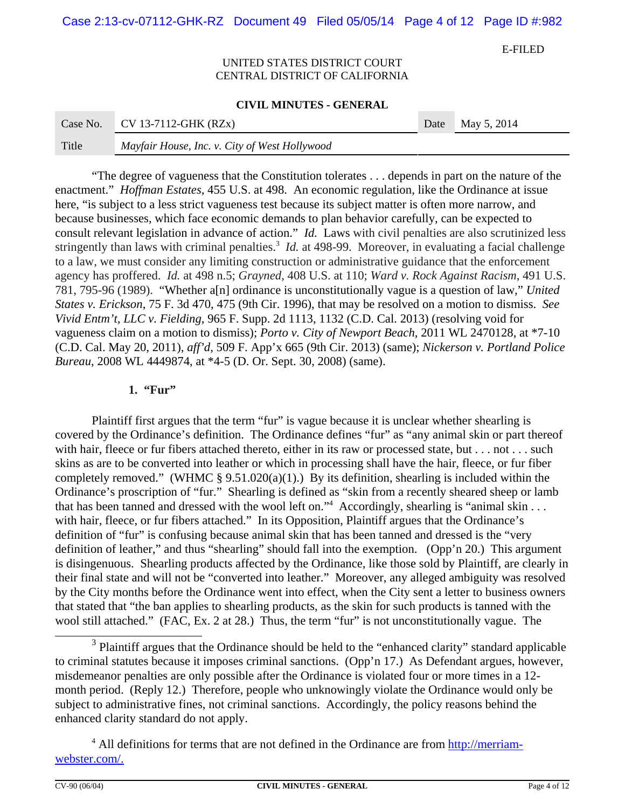Case 2:13-cv-07112-GHK-RZ Document 49 Filed 05/05/14 Page 4 of 12 Page ID #:982

E-FILED

#### UNITED STATES DISTRICT COURT CENTRAL DISTRICT OF CALIFORNIA

#### **CIVIL MINUTES - GENERAL**

| Case No. | $CV 13-7112-GHK (RZx)$                        | Date | May 5, 2014 |
|----------|-----------------------------------------------|------|-------------|
| Title    | Mayfair House, Inc. v. City of West Hollywood |      |             |

"The degree of vagueness that the Constitution tolerates . . . depends in part on the nature of the enactment." *Hoffman Estates*, 455 U.S. at 498. An economic regulation, like the Ordinance at issue here, "is subject to a less strict vagueness test because its subject matter is often more narrow, and because businesses, which face economic demands to plan behavior carefully, can be expected to consult relevant legislation in advance of action." *Id.* Laws with civil penalties are also scrutinized less stringently than laws with criminal penalties.<sup>3</sup> *Id.* at 498-99. Moreover, in evaluating a facial challenge to a law, we must consider any limiting construction or administrative guidance that the enforcement agency has proffered. *Id.* at 498 n.5; *Grayned*, 408 U.S. at 110; *Ward v. Rock Against Racism*, 491 U.S. 781, 795-96 (1989). "Whether a[n] ordinance is unconstitutionally vague is a question of law," *United States v. Erickson*, 75 F. 3d 470, 475 (9th Cir. 1996), that may be resolved on a motion to dismiss. *See Vivid Entm't, LLC v. Fielding*, 965 F. Supp. 2d 1113, 1132 (C.D. Cal. 2013) (resolving void for vagueness claim on a motion to dismiss); *Porto v. City of Newport Beach*, 2011 WL 2470128, at \*7-10 (C.D. Cal. May 20, 2011), *aff'd*, 509 F. App'x 665 (9th Cir. 2013) (same); *Nickerson v. Portland Police Bureau*, 2008 WL 4449874, at \*4-5 (D. Or. Sept. 30, 2008) (same).

## **1. "Fur"**

Plaintiff first argues that the term "fur" is vague because it is unclear whether shearling is covered by the Ordinance's definition. The Ordinance defines "fur" as "any animal skin or part thereof with hair, fleece or fur fibers attached thereto, either in its raw or processed state, but . . . not . . . such skins as are to be converted into leather or which in processing shall have the hair, fleece, or fur fiber completely removed." (WHMC  $\S 9.51.020(a)(1)$ .) By its definition, shearling is included within the Ordinance's proscription of "fur." Shearling is defined as "skin from a recently sheared sheep or lamb that has been tanned and dressed with the wool left on."<sup>4</sup> Accordingly, shearling is "animal skin . . . with hair, fleece, or fur fibers attached." In its Opposition, Plaintiff argues that the Ordinance's definition of "fur" is confusing because animal skin that has been tanned and dressed is the "very definition of leather," and thus "shearling" should fall into the exemption. (Opp'n 20.) This argument is disingenuous. Shearling products affected by the Ordinance, like those sold by Plaintiff, are clearly in their final state and will not be "converted into leather." Moreover, any alleged ambiguity was resolved by the City months before the Ordinance went into effect, when the City sent a letter to business owners that stated that "the ban applies to shearling products, as the skin for such products is tanned with the wool still attached." (FAC, Ex. 2 at 28.) Thus, the term "fur" is not unconstitutionally vague. The

 $3$  Plaintiff argues that the Ordinance should be held to the "enhanced clarity" standard applicable to criminal statutes because it imposes criminal sanctions. (Opp'n 17.) As Defendant argues, however, misdemeanor penalties are only possible after the Ordinance is violated four or more times in a 12 month period. (Reply 12.) Therefore, people who unknowingly violate the Ordinance would only be subject to administrative fines, not criminal sanctions. Accordingly, the policy reasons behind the enhanced clarity standard do not apply.

<sup>&</sup>lt;sup>4</sup> All definitions for terms that are not defined in the Ordinance are from http://merriamwebster.com/.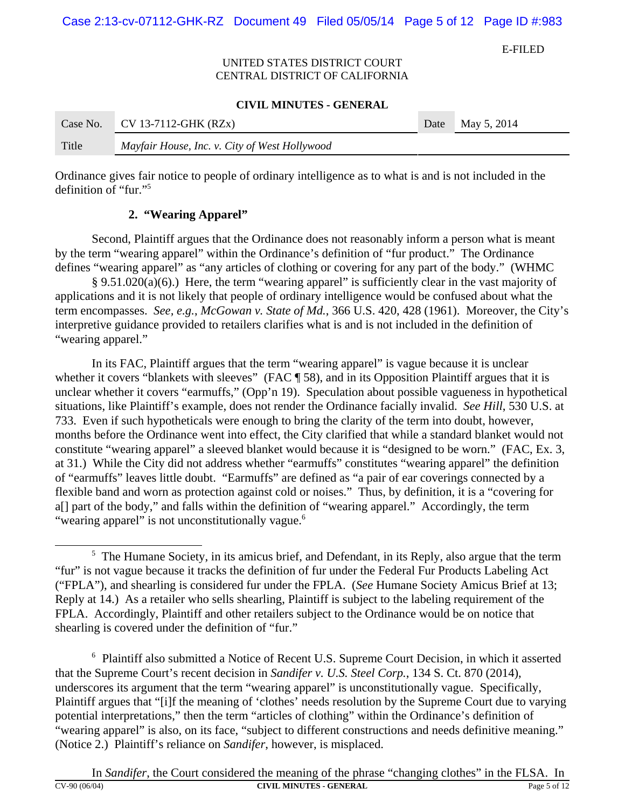Case 2:13-cv-07112-GHK-RZ Document 49 Filed 05/05/14 Page 5 of 12 Page ID #:983

E-FILED

## UNITED STATES DISTRICT COURT CENTRAL DISTRICT OF CALIFORNIA

#### **CIVIL MINUTES - GENERAL**

| Case No. | $CV 13-7112-GHK (RZx)$                        | Date | May 5, 2014 |
|----------|-----------------------------------------------|------|-------------|
| Title    | Mayfair House, Inc. v. City of West Hollywood |      |             |

Ordinance gives fair notice to people of ordinary intelligence as to what is and is not included in the definition of "fur."5

## **2. "Wearing Apparel"**

Second, Plaintiff argues that the Ordinance does not reasonably inform a person what is meant by the term "wearing apparel" within the Ordinance's definition of "fur product." The Ordinance defines "wearing apparel" as "any articles of clothing or covering for any part of the body." (WHMC

 § 9.51.020(a)(6).) Here, the term "wearing apparel" is sufficiently clear in the vast majority of applications and it is not likely that people of ordinary intelligence would be confused about what the term encompasses. *See, e.g.*, *McGowan v. State of Md.*, 366 U.S. 420, 428 (1961).Moreover, the City's interpretive guidance provided to retailers clarifies what is and is not included in the definition of "wearing apparel."

In its FAC, Plaintiff argues that the term "wearing apparel" is vague because it is unclear whether it covers "blankets with sleeves" (FAC ¶ 58), and in its Opposition Plaintiff argues that it is unclear whether it covers "earmuffs," (Opp'n 19). Speculation about possible vagueness in hypothetical situations, like Plaintiff's example, does not render the Ordinance facially invalid. *See Hill*, 530 U.S. at 733. Even if such hypotheticals were enough to bring the clarity of the term into doubt, however, months before the Ordinance went into effect, the City clarified that while a standard blanket would not constitute "wearing apparel" a sleeved blanket would because it is "designed to be worn." (FAC, Ex. 3, at 31.) While the City did not address whether "earmuffs" constitutes "wearing apparel" the definition of "earmuffs" leaves little doubt. "Earmuffs" are defined as "a pair of ear coverings connected by a flexible band and worn as protection against cold or noises." Thus, by definition, it is a "covering for a[] part of the body," and falls within the definition of "wearing apparel." Accordingly, the term "wearing apparel" is not unconstitutionally vague.<sup>6</sup>

<sup>6</sup> Plaintiff also submitted a Notice of Recent U.S. Supreme Court Decision, in which it asserted that the Supreme Court's recent decision in *Sandifer v. U.S. Steel Corp.*, 134 S. Ct. 870 (2014), underscores its argument that the term "wearing apparel" is unconstitutionally vague. Specifically, Plaintiff argues that "[i]f the meaning of 'clothes' needs resolution by the Supreme Court due to varying potential interpretations," then the term "articles of clothing" within the Ordinance's definition of "wearing apparel" is also, on its face, "subject to different constructions and needs definitive meaning." (Notice 2.) Plaintiff's reliance on *Sandifer*, however, is misplaced.

<sup>&</sup>lt;sup>5</sup> The Humane Society, in its amicus brief, and Defendant, in its Reply, also argue that the term "fur" is not vague because it tracks the definition of fur under the Federal Fur Products Labeling Act ("FPLA"), and shearling is considered fur under the FPLA. (*See* Humane Society Amicus Brief at 13; Reply at 14.) As a retailer who sells shearling, Plaintiff is subject to the labeling requirement of the FPLA. Accordingly, Plaintiff and other retailers subject to the Ordinance would be on notice that shearling is covered under the definition of "fur."

In *Sandifer*, the Court considered the meaning of the phrase "changing clothes" in the FLSA. In **CV-90 (06/04) CIVIL MINUTES - GENERAL**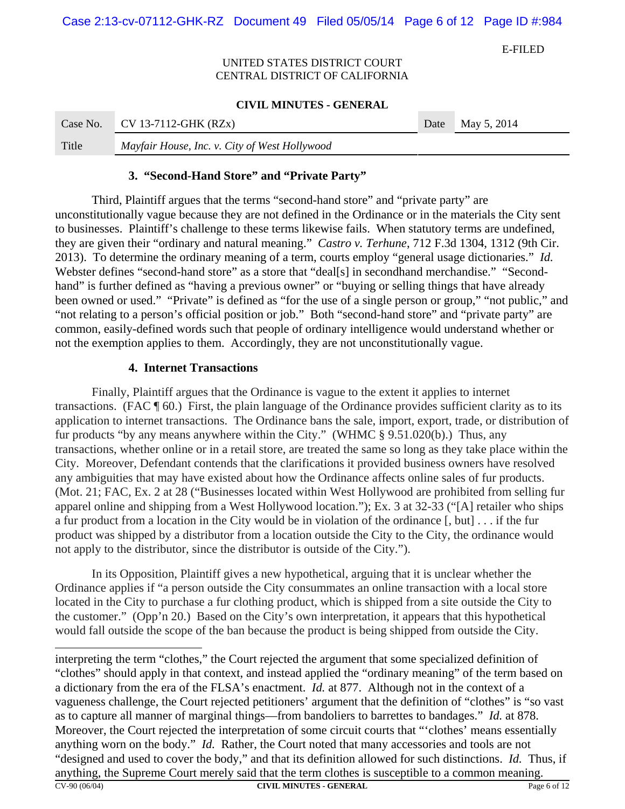E-FILED

## UNITED STATES DISTRICT COURT CENTRAL DISTRICT OF CALIFORNIA

#### **CIVIL MINUTES - GENERAL**

| Case No. | $CV 13-7112-GHK (RZx)$                        | Date May 5, 2014 |
|----------|-----------------------------------------------|------------------|
| Title    | Mayfair House, Inc. v. City of West Hollywood |                  |

## **3. "Second-Hand Store" and "Private Party"**

Third, Plaintiff argues that the terms "second-hand store" and "private party" are unconstitutionally vague because they are not defined in the Ordinance or in the materials the City sent to businesses. Plaintiff's challenge to these terms likewise fails. When statutory terms are undefined, they are given their "ordinary and natural meaning." *Castro v. Terhune*, 712 F.3d 1304, 1312 (9th Cir. 2013). To determine the ordinary meaning of a term, courts employ "general usage dictionaries." *Id.* Webster defines "second-hand store" as a store that "deal[s] in secondhand merchandise." "Secondhand" is further defined as "having a previous owner" or "buying or selling things that have already been owned or used." "Private" is defined as "for the use of a single person or group," "not public," and "not relating to a person's official position or job." Both "second-hand store" and "private party" are common, easily-defined words such that people of ordinary intelligence would understand whether or not the exemption applies to them. Accordingly, they are not unconstitutionally vague.

## **4. Internet Transactions**

Finally, Plaintiff argues that the Ordinance is vague to the extent it applies to internet transactions. (FAC ¶ 60.) First, the plain language of the Ordinance provides sufficient clarity as to its application to internet transactions. The Ordinance bans the sale, import, export, trade, or distribution of fur products "by any means anywhere within the City." (WHMC § 9.51.020(b).) Thus, any transactions, whether online or in a retail store, are treated the same so long as they take place within the City. Moreover, Defendant contends that the clarifications it provided business owners have resolved any ambiguities that may have existed about how the Ordinance affects online sales of fur products. (Mot. 21; FAC, Ex. 2 at 28 ("Businesses located within West Hollywood are prohibited from selling fur apparel online and shipping from a West Hollywood location."); Ex. 3 at 32-33 ("[A] retailer who ships a fur product from a location in the City would be in violation of the ordinance [, but] . . . if the fur product was shipped by a distributor from a location outside the City to the City, the ordinance would not apply to the distributor, since the distributor is outside of the City.").

In its Opposition, Plaintiff gives a new hypothetical, arguing that it is unclear whether the Ordinance applies if "a person outside the City consummates an online transaction with a local store located in the City to purchase a fur clothing product, which is shipped from a site outside the City to the customer." (Opp'n 20.) Based on the City's own interpretation, it appears that this hypothetical would fall outside the scope of the ban because the product is being shipped from outside the City.

interpreting the term "clothes," the Court rejected the argument that some specialized definition of "clothes" should apply in that context, and instead applied the "ordinary meaning" of the term based on a dictionary from the era of the FLSA's enactment. *Id.* at 877. Although not in the context of a vagueness challenge, the Court rejected petitioners' argument that the definition of "clothes" is "so vast as to capture all manner of marginal things—from bandoliers to barrettes to bandages." *Id.* at 878. Moreover, the Court rejected the interpretation of some circuit courts that "'clothes' means essentially anything worn on the body." *Id.* Rather, the Court noted that many accessories and tools are not "designed and used to cover the body," and that its definition allowed for such distinctions. *Id.* Thus, if anything, the Supreme Court merely said that the term clothes is susceptible to a common meaning. CV-90 (06/04) **CIVIL MINUTES - GENERAL** Page 6 of 12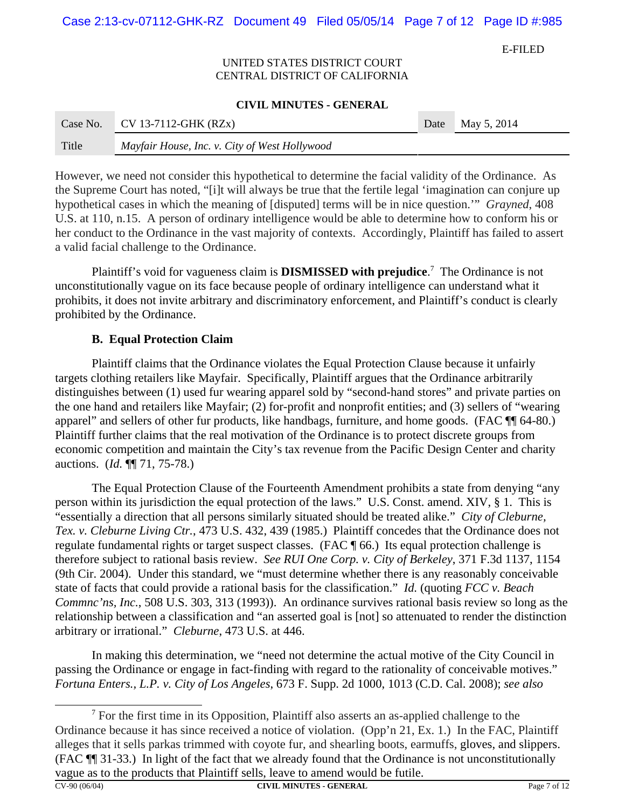Case 2:13-cv-07112-GHK-RZ Document 49 Filed 05/05/14 Page 7 of 12 Page ID #:985

E-FILED

### UNITED STATES DISTRICT COURT CENTRAL DISTRICT OF CALIFORNIA

#### **CIVIL MINUTES - GENERAL**

| Case No. | $CV 13-7112-GHK (RZx)$                        | Date | $^*$ May 5, 2014 |
|----------|-----------------------------------------------|------|------------------|
| Title    | Mayfair House, Inc. v. City of West Hollywood |      |                  |

However, we need not consider this hypothetical to determine the facial validity of the Ordinance. As the Supreme Court has noted, "[i]t will always be true that the fertile legal 'imagination can conjure up hypothetical cases in which the meaning of [disputed] terms will be in nice question.'" *Grayned*, 408 U.S. at 110, n.15. A person of ordinary intelligence would be able to determine how to conform his or her conduct to the Ordinance in the vast majority of contexts. Accordingly, Plaintiff has failed to assert a valid facial challenge to the Ordinance.

Plaintiff's void for vagueness claim is **DISMISSED with prejudice**. 7 The Ordinance is not unconstitutionally vague on its face because people of ordinary intelligence can understand what it prohibits, it does not invite arbitrary and discriminatory enforcement, and Plaintiff's conduct is clearly prohibited by the Ordinance.

## **B. Equal Protection Claim**

Plaintiff claims that the Ordinance violates the Equal Protection Clause because it unfairly targets clothing retailers like Mayfair. Specifically, Plaintiff argues that the Ordinance arbitrarily distinguishes between (1) used fur wearing apparel sold by "second-hand stores" and private parties on the one hand and retailers like Mayfair; (2) for-profit and nonprofit entities; and (3) sellers of "wearing apparel" and sellers of other fur products, like handbags, furniture, and home goods. (FAC ¶¶ 64-80.) Plaintiff further claims that the real motivation of the Ordinance is to protect discrete groups from economic competition and maintain the City's tax revenue from the Pacific Design Center and charity auctions. (*Id.* ¶¶ 71, 75-78.)

The Equal Protection Clause of the Fourteenth Amendment prohibits a state from denying "any person within its jurisdiction the equal protection of the laws." U.S. Const. amend. XIV, § 1. This is "essentially a direction that all persons similarly situated should be treated alike." *City of Cleburne, Tex. v. Cleburne Living Ctr.*, 473 U.S. 432, 439 (1985.) Plaintiff concedes that the Ordinance does not regulate fundamental rights or target suspect classes. (FAC ¶ 66.) Its equal protection challenge is therefore subject to rational basis review. *See RUI One Corp. v. City of Berkeley*, 371 F.3d 1137, 1154 (9th Cir. 2004). Under this standard, we "must determine whether there is any reasonably conceivable state of facts that could provide a rational basis for the classification." *Id.* (quoting *FCC v. Beach Commnc'ns, Inc.*, 508 U.S. 303, 313 (1993)). An ordinance survives rational basis review so long as the relationship between a classification and "an asserted goal is [not] so attenuated to render the distinction arbitrary or irrational." *Cleburne*, 473 U.S. at 446.

In making this determination, we "need not determine the actual motive of the City Council in passing the Ordinance or engage in fact-finding with regard to the rationality of conceivable motives." *Fortuna Enters., L.P. v. City of Los Angeles*, 673 F. Supp. 2d 1000, 1013 (C.D. Cal. 2008); *see also*

 $<sup>7</sup>$  For the first time in its Opposition, Plaintiff also asserts an as-applied challenge to the</sup> Ordinance because it has since received a notice of violation. (Opp'n 21, Ex. 1.) In the FAC, Plaintiff alleges that it sells parkas trimmed with coyote fur, and shearling boots, earmuffs, gloves, and slippers. (FAC ¶¶ 31-33.) In light of the fact that we already found that the Ordinance is not unconstitutionally vague as to the products that Plaintiff sells, leave to amend would be futile.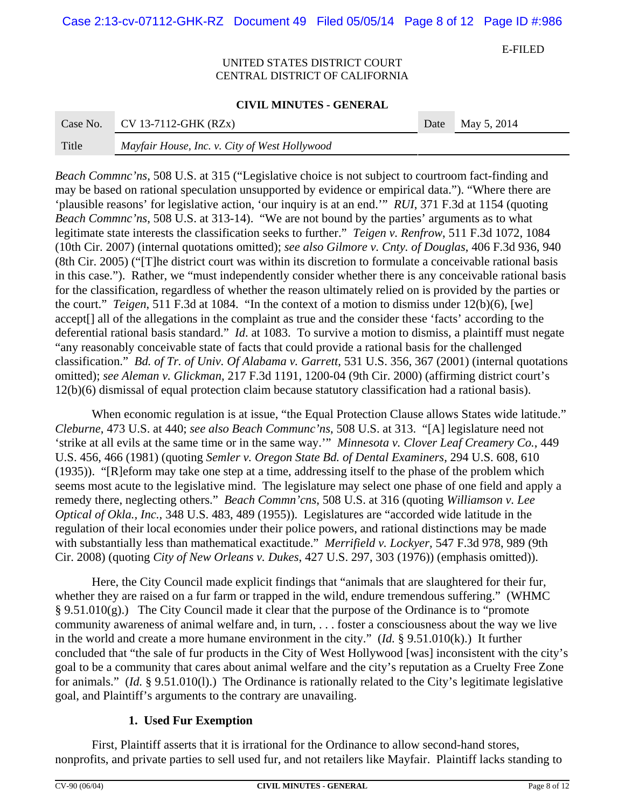Case 2:13-cv-07112-GHK-RZ Document 49 Filed 05/05/14 Page 8 of 12 Page ID #:986

E-FILED

### UNITED STATES DISTRICT COURT CENTRAL DISTRICT OF CALIFORNIA

#### **CIVIL MINUTES - GENERAL**

|       | Case No. CV 13-7112-GHK $(RZx)$               | Date May 5, 2014 |
|-------|-----------------------------------------------|------------------|
| Title | Mayfair House, Inc. v. City of West Hollywood |                  |

*Beach Commnc'ns*, 508 U.S. at 315 ("Legislative choice is not subject to courtroom fact-finding and may be based on rational speculation unsupported by evidence or empirical data."). "Where there are 'plausible reasons' for legislative action, 'our inquiry is at an end.'" *RUI*, 371 F.3d at 1154 (quoting *Beach Commnc'ns*, 508 U.S. at 313-14). "We are not bound by the parties' arguments as to what legitimate state interests the classification seeks to further." *Teigen v. Renfrow*, 511 F.3d 1072, 1084 (10th Cir. 2007) (internal quotations omitted); *see also Gilmore v. Cnty. of Douglas*, 406 F.3d 936, 940 (8th Cir. 2005) ("[T]he district court was within its discretion to formulate a conceivable rational basis in this case."). Rather, we "must independently consider whether there is any conceivable rational basis for the classification, regardless of whether the reason ultimately relied on is provided by the parties or the court." *Teigen*, 511 F.3d at 1084."In the context of a motion to dismiss under 12(b)(6), [we] accept[] all of the allegations in the complaint as true and the consider these 'facts' according to the deferential rational basis standard." *Id*. at 1083. To survive a motion to dismiss, a plaintiff must negate "any reasonably conceivable state of facts that could provide a rational basis for the challenged classification." *Bd. of Tr. of Univ. Of Alabama v. Garrett*, 531 U.S. 356, 367 (2001) (internal quotations omitted); *see Aleman v. Glickman*, 217 F.3d 1191, 1200-04 (9th Cir. 2000) (affirming district court's 12(b)(6) dismissal of equal protection claim because statutory classification had a rational basis).

When economic regulation is at issue, "the Equal Protection Clause allows States wide latitude." *Cleburne*, 473 U.S. at 440; *see also Beach Communc'ns*, 508 U.S. at 313. "[A] legislature need not 'strike at all evils at the same time or in the same way.'" *Minnesota v. Clover Leaf Creamery Co.*, 449 U.S. 456, 466 (1981) (quoting *Semler v. Oregon State Bd. of Dental Examiners*, 294 U.S. 608, 610 (1935)). "[R]eform may take one step at a time, addressing itself to the phase of the problem which seems most acute to the legislative mind. The legislature may select one phase of one field and apply a remedy there, neglecting others." *Beach Commn'cns*, 508 U.S. at 316 (quoting *Williamson v. Lee Optical of Okla., Inc.*, 348 U.S. 483, 489 (1955)). Legislatures are "accorded wide latitude in the regulation of their local economies under their police powers, and rational distinctions may be made with substantially less than mathematical exactitude." *Merrifield v. Lockyer,* 547 F.3d 978, 989 (9th Cir. 2008) (quoting *City of New Orleans v. Dukes*, 427 U.S. 297, 303 (1976)) (emphasis omitted)).

Here, the City Council made explicit findings that "animals that are slaughtered for their fur, whether they are raised on a fur farm or trapped in the wild, endure tremendous suffering." (WHMC § 9.51.010(g).) The City Council made it clear that the purpose of the Ordinance is to "promote community awareness of animal welfare and, in turn, . . . foster a consciousness about the way we live in the world and create a more humane environment in the city." (*Id.* § 9.51.010(k).) It further concluded that "the sale of fur products in the City of West Hollywood [was] inconsistent with the city's goal to be a community that cares about animal welfare and the city's reputation as a Cruelty Free Zone for animals." (*Id.* § 9.51.010(l).) The Ordinance is rationally related to the City's legitimate legislative goal, and Plaintiff's arguments to the contrary are unavailing.

## **1. Used Fur Exemption**

First, Plaintiff asserts that it is irrational for the Ordinance to allow second-hand stores, nonprofits, and private parties to sell used fur, and not retailers like Mayfair. Plaintiff lacks standing to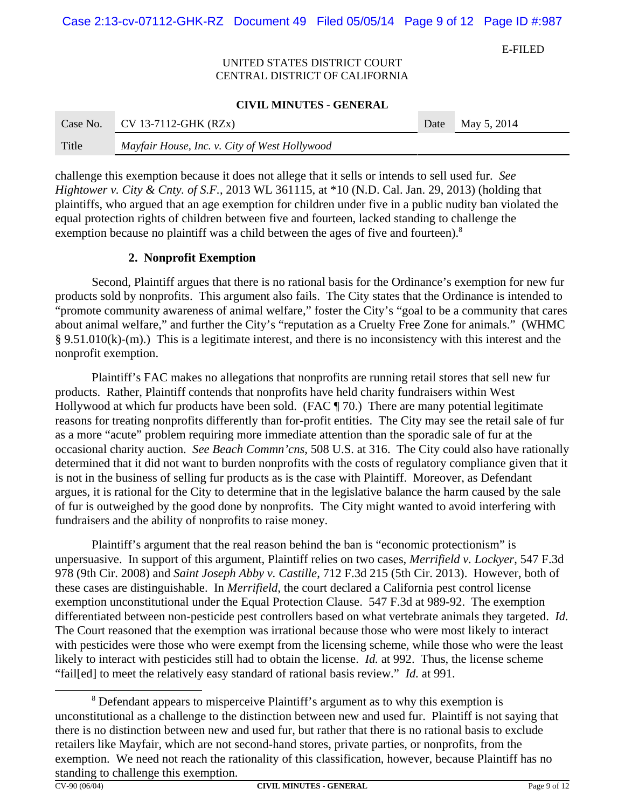Case 2:13-cv-07112-GHK-RZ Document 49 Filed 05/05/14 Page 9 of 12 Page ID #:987

E-FILED

### UNITED STATES DISTRICT COURT CENTRAL DISTRICT OF CALIFORNIA

#### **CIVIL MINUTES - GENERAL**

| Case No. | $CV 13-7112-GHK (RZx)$                        | Date | $\blacksquare$ May 5, 2014 |
|----------|-----------------------------------------------|------|----------------------------|
| Title    | Mayfair House, Inc. v. City of West Hollywood |      |                            |

challenge this exemption because it does not allege that it sells or intends to sell used fur. *See Hightower v. City & Cnty. of S.F.*, 2013 WL 361115, at \*10 (N.D. Cal. Jan. 29, 2013) (holding that plaintiffs, who argued that an age exemption for children under five in a public nudity ban violated the equal protection rights of children between five and fourteen, lacked standing to challenge the exemption because no plaintiff was a child between the ages of five and fourteen).<sup>8</sup>

## **2. Nonprofit Exemption**

Second, Plaintiff argues that there is no rational basis for the Ordinance's exemption for new fur products sold by nonprofits. This argument also fails. The City states that the Ordinance is intended to "promote community awareness of animal welfare," foster the City's "goal to be a community that cares about animal welfare," and further the City's "reputation as a Cruelty Free Zone for animals." (WHMC § 9.51.010(k)-(m).) This is a legitimate interest, and there is no inconsistency with this interest and the nonprofit exemption.

Plaintiff's FAC makes no allegations that nonprofits are running retail stores that sell new fur products. Rather, Plaintiff contends that nonprofits have held charity fundraisers within West Hollywood at which fur products have been sold. (FAC ¶ 70.) There are many potential legitimate reasons for treating nonprofits differently than for-profit entities. The City may see the retail sale of fur as a more "acute" problem requiring more immediate attention than the sporadic sale of fur at the occasional charity auction. *See Beach Commn'cns*, 508 U.S. at 316. The City could also have rationally determined that it did not want to burden nonprofits with the costs of regulatory compliance given that it is not in the business of selling fur products as is the case with Plaintiff. Moreover, as Defendant argues, it is rational for the City to determine that in the legislative balance the harm caused by the sale of fur is outweighed by the good done by nonprofits. The City might wanted to avoid interfering with fundraisers and the ability of nonprofits to raise money.

Plaintiff's argument that the real reason behind the ban is "economic protectionism" is unpersuasive. In support of this argument, Plaintiff relies on two cases, *Merrifield v. Lockyer*, 547 F.3d 978 (9th Cir. 2008) and *Saint Joseph Abby v. Castille*, 712 F.3d 215 (5th Cir. 2013). However, both of these cases are distinguishable. In *Merrifield*, the court declared a California pest control license exemption unconstitutional under the Equal Protection Clause. 547 F.3d at 989-92. The exemption differentiated between non-pesticide pest controllers based on what vertebrate animals they targeted. *Id.* The Court reasoned that the exemption was irrational because those who were most likely to interact with pesticides were those who were exempt from the licensing scheme, while those who were the least likely to interact with pesticides still had to obtain the license. *Id.* at 992. Thus, the license scheme "fail[ed] to meet the relatively easy standard of rational basis review." *Id.* at 991.

<sup>&</sup>lt;sup>8</sup> Defendant appears to misperceive Plaintiff's argument as to why this exemption is unconstitutional as a challenge to the distinction between new and used fur. Plaintiff is not saying that there is no distinction between new and used fur, but rather that there is no rational basis to exclude retailers like Mayfair, which are not second-hand stores, private parties, or nonprofits, from the exemption. We need not reach the rationality of this classification, however, because Plaintiff has no standing to challenge this exemption.<br> $C_{V-90(06/04)}$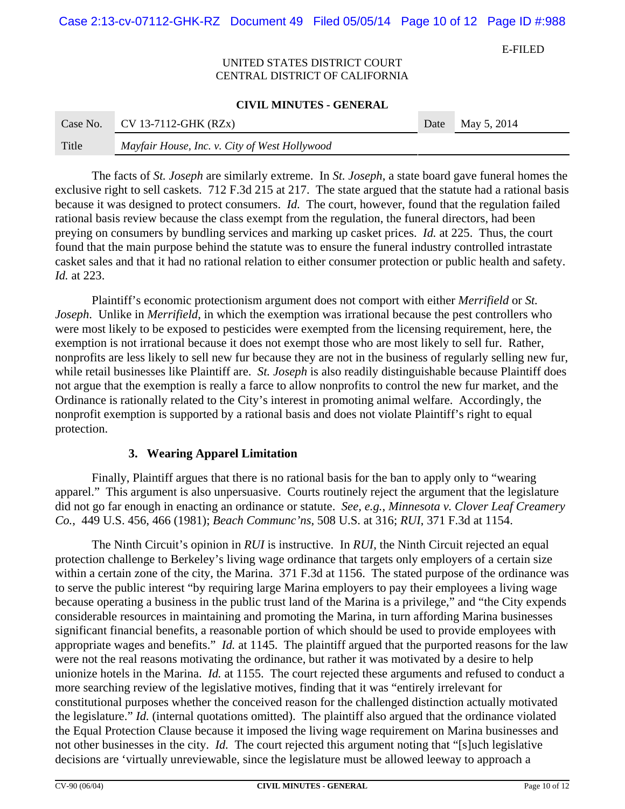Case 2:13-cv-07112-GHK-RZ Document 49 Filed 05/05/14 Page 10 of 12 Page ID #:988

E-FILED

### UNITED STATES DISTRICT COURT CENTRAL DISTRICT OF CALIFORNIA

#### **CIVIL MINUTES - GENERAL**

| Case No. | $CV 13-7112-GHK (RZx)$                        | Date | $\sqrt{2}$ May 5, 2014 |
|----------|-----------------------------------------------|------|------------------------|
| Title    | Mayfair House, Inc. v. City of West Hollywood |      |                        |

The facts of *St. Joseph* are similarly extreme. In *St. Joseph*, a state board gave funeral homes the exclusive right to sell caskets. 712 F.3d 215 at 217. The state argued that the statute had a rational basis because it was designed to protect consumers. *Id.* The court, however, found that the regulation failed rational basis review because the class exempt from the regulation, the funeral directors, had been preying on consumers by bundling services and marking up casket prices. *Id.* at 225. Thus, the court found that the main purpose behind the statute was to ensure the funeral industry controlled intrastate casket sales and that it had no rational relation to either consumer protection or public health and safety. *Id.* at 223.

Plaintiff's economic protectionism argument does not comport with either *Merrifield* or *St. Joseph*. Unlike in *Merrifield*, in which the exemption was irrational because the pest controllers who were most likely to be exposed to pesticides were exempted from the licensing requirement, here, the exemption is not irrational because it does not exempt those who are most likely to sell fur. Rather, nonprofits are less likely to sell new fur because they are not in the business of regularly selling new fur, while retail businesses like Plaintiff are. *St. Joseph* is also readily distinguishable because Plaintiff does not argue that the exemption is really a farce to allow nonprofits to control the new fur market, and the Ordinance is rationally related to the City's interest in promoting animal welfare. Accordingly, the nonprofit exemption is supported by a rational basis and does not violate Plaintiff's right to equal protection.

## **3. Wearing Apparel Limitation**

Finally, Plaintiff argues that there is no rational basis for the ban to apply only to "wearing apparel." This argument is also unpersuasive. Courts routinely reject the argument that the legislature did not go far enough in enacting an ordinance or statute. *See, e.g.*, *Minnesota v. Clover Leaf Creamery Co.*, 449 U.S. 456, 466 (1981); *Beach Communc'ns*, 508 U.S. at 316; *RUI*, 371 F.3d at 1154.

The Ninth Circuit's opinion in *RUI* is instructive. In *RUI*, the Ninth Circuit rejected an equal protection challenge to Berkeley's living wage ordinance that targets only employers of a certain size within a certain zone of the city, the Marina. 371 F.3d at 1156. The stated purpose of the ordinance was to serve the public interest "by requiring large Marina employers to pay their employees a living wage because operating a business in the public trust land of the Marina is a privilege," and "the City expends considerable resources in maintaining and promoting the Marina, in turn affording Marina businesses significant financial benefits, a reasonable portion of which should be used to provide employees with appropriate wages and benefits." *Id.* at 1145. The plaintiff argued that the purported reasons for the law were not the real reasons motivating the ordinance, but rather it was motivated by a desire to help unionize hotels in the Marina. *Id.* at 1155. The court rejected these arguments and refused to conduct a more searching review of the legislative motives, finding that it was "entirely irrelevant for constitutional purposes whether the conceived reason for the challenged distinction actually motivated the legislature." *Id.* (internal quotations omitted). The plaintiff also argued that the ordinance violated the Equal Protection Clause because it imposed the living wage requirement on Marina businesses and not other businesses in the city. *Id.* The court rejected this argument noting that "[s]uch legislative decisions are 'virtually unreviewable, since the legislature must be allowed leeway to approach a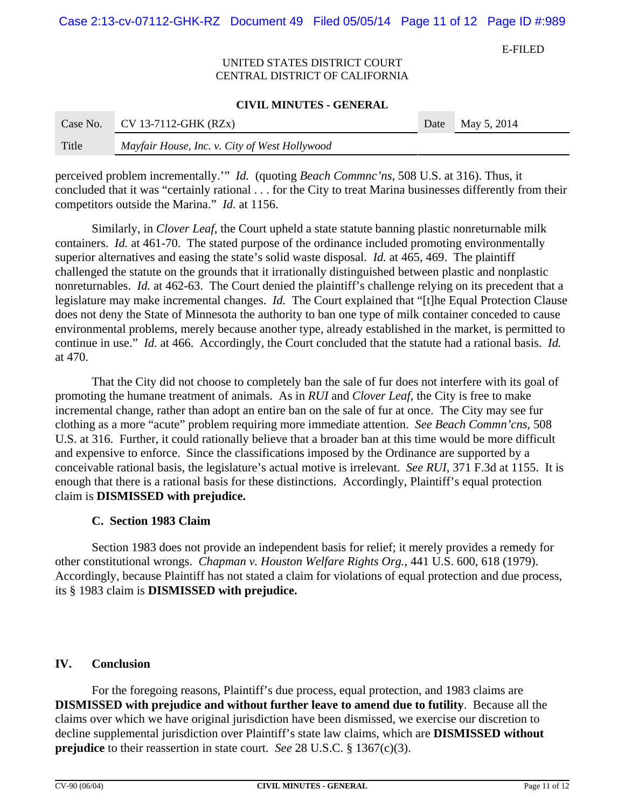Case 2:13-cv-07112-GHK-RZ Document 49 Filed 05/05/14 Page 11 of 12 Page ID #:989

E-FILED

### UNITED STATES DISTRICT COURT CENTRAL DISTRICT OF CALIFORNIA

#### **CIVIL MINUTES - GENERAL**

| Case No. | $CV 13-7112-GHK (RZx)$                        | Date | $^{\circ}$ May 5, 2014 |
|----------|-----------------------------------------------|------|------------------------|
| Title    | Mayfair House, Inc. v. City of West Hollywood |      |                        |

perceived problem incrementally.'" *Id.* (quoting *Beach Commnc'ns,* 508 U.S. at 316). Thus, it concluded that it was "certainly rational . . . for the City to treat Marina businesses differently from their competitors outside the Marina." *Id.* at 1156.

Similarly, in *Clover Leaf*, the Court upheld a state statute banning plastic nonreturnable milk containers. *Id.* at 461-70. The stated purpose of the ordinance included promoting environmentally superior alternatives and easing the state's solid waste disposal. *Id.* at 465, 469. The plaintiff challenged the statute on the grounds that it irrationally distinguished between plastic and nonplastic nonreturnables. *Id.* at 462-63. The Court denied the plaintiff's challenge relying on its precedent that a legislature may make incremental changes. *Id.* The Court explained that "[t]he Equal Protection Clause does not deny the State of Minnesota the authority to ban one type of milk container conceded to cause environmental problems, merely because another type, already established in the market, is permitted to continue in use." *Id.* at 466. Accordingly, the Court concluded that the statute had a rational basis. *Id.* at 470.

That the City did not choose to completely ban the sale of fur does not interfere with its goal of promoting the humane treatment of animals. As in *RUI* and *Clover Leaf*, the City is free to make incremental change, rather than adopt an entire ban on the sale of fur at once. The City may see fur clothing as a more "acute" problem requiring more immediate attention. *See Beach Commn'cns*, 508 U.S. at 316. Further, it could rationally believe that a broader ban at this time would be more difficult and expensive to enforce. Since the classifications imposed by the Ordinance are supported by a conceivable rational basis, the legislature's actual motive is irrelevant. *See RUI*, 371 F.3d at 1155. It is enough that there is a rational basis for these distinctions. Accordingly, Plaintiff's equal protection claim is **DISMISSED with prejudice.**

## **C. Section 1983 Claim**

Section 1983 does not provide an independent basis for relief; it merely provides a remedy for other constitutional wrongs. *Chapman v. Houston Welfare Rights Org.*, 441 U.S. 600, 618 (1979). Accordingly, because Plaintiff has not stated a claim for violations of equal protection and due process, its § 1983 claim is **DISMISSED with prejudice.**

## **IV. Conclusion**

 For the foregoing reasons, Plaintiff's due process, equal protection, and 1983 claims are **DISMISSED with prejudice and without further leave to amend due to futility**. Because all the claims over which we have original jurisdiction have been dismissed, we exercise our discretion to decline supplemental jurisdiction over Plaintiff's state law claims, which are **DISMISSED without prejudice** to their reassertion in state court. *See* 28 U.S.C. § 1367(c)(3).